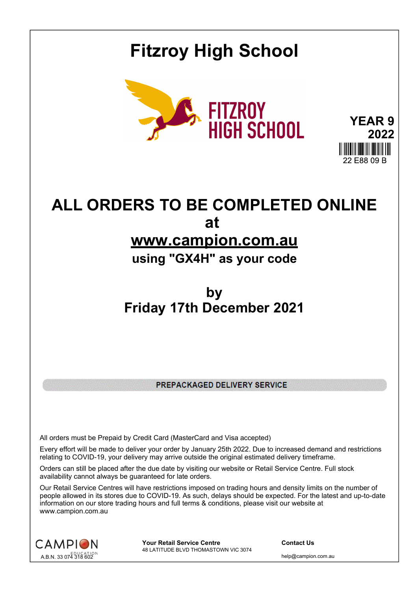## **Fitzroy High School**



**YEAR 9 2022** 22 E88 09 B

# **ALL ORDERS TO BE COMPLETED ONLINE at**

## **www.campion.com.au**

### **using "GX4H" as your code**

### **by Friday 17th December 2021**

PREPACKAGED DELIVERY SERVICE

All orders must be Prepaid by Credit Card (MasterCard and Visa accepted)

Every effort will be made to deliver your order by January 25th 2022. Due to increased demand and restrictions relating to COVID-19, your delivery may arrive outside the original estimated delivery timeframe.

Orders can still be placed after the due date by visiting our website or Retail Service Centre. Full stock availability cannot always be guaranteed for late orders.

Our Retail Service Centres will have restrictions imposed on trading hours and density limits on the number of people allowed in its stores due to COVID-19. As such, delays should be expected. For the latest and up-to-date information on our store trading hours and full terms & conditions, please visit our website at www.campion.com.au



**Your Retail Service Centre Contact Us** 48 LATITUDE BLVD THOMASTOWN VIC 3074

help@campion.com.au